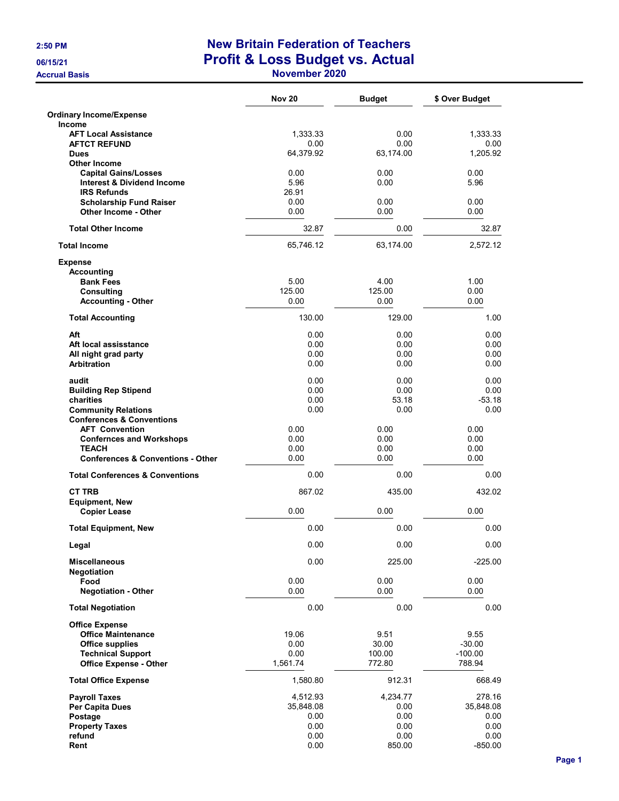## 2:50 PM New Britain Federation of Teachers 06/15/21 **Profit & Loss Budget vs. Actual** Accrual Basis **November 2020**

|                                                 | <b>Nov 20</b>  | <b>Budget</b>  | \$ Over Budget |
|-------------------------------------------------|----------------|----------------|----------------|
| <b>Ordinary Income/Expense</b>                  |                |                |                |
| <b>Income</b><br><b>AFT Local Assistance</b>    | 1,333.33       | 0.00           | 1,333.33       |
| <b>AFTCT REFUND</b>                             | 0.00           | 0.00           | 0.00           |
| <b>Dues</b>                                     | 64,379.92      | 63,174.00      | 1,205.92       |
| <b>Other Income</b>                             |                |                |                |
| <b>Capital Gains/Losses</b>                     | 0.00           | 0.00           | 0.00           |
| <b>Interest &amp; Dividend Income</b>           | 5.96           | 0.00           | 5.96           |
| <b>IRS Refunds</b>                              | 26.91          |                |                |
| <b>Scholarship Fund Raiser</b>                  | 0.00           | 0.00           | 0.00           |
| Other Income - Other                            | 0.00           | 0.00           | 0.00           |
| <b>Total Other Income</b>                       | 32.87          | 0.00           | 32.87          |
| <b>Total Income</b>                             | 65,746.12      | 63,174.00      | 2,572.12       |
| <b>Expense</b>                                  |                |                |                |
| <b>Accounting</b>                               |                |                |                |
| <b>Bank Fees</b>                                | 5.00           | 4.00           | 1.00           |
| <b>Consulting</b>                               | 125.00<br>0.00 | 125.00<br>0.00 | 0.00<br>0.00   |
| <b>Accounting - Other</b>                       |                |                |                |
| <b>Total Accounting</b>                         | 130.00         | 129.00         | 1.00           |
| Aft                                             | 0.00           | 0.00           | 0.00           |
| Aft local assisstance                           | 0.00           | 0.00           | 0.00           |
| All night grad party                            | 0.00           | 0.00           | 0.00           |
| <b>Arbitration</b>                              | 0.00           | 0.00           | 0.00           |
| audit                                           | 0.00           | 0.00           | 0.00           |
| <b>Building Rep Stipend</b>                     | 0.00           | 0.00           | 0.00           |
| charities                                       | 0.00           | 53.18          | $-53.18$       |
| <b>Community Relations</b>                      | 0.00           | 0.00           | 0.00           |
| <b>Conferences &amp; Conventions</b>            |                |                |                |
| <b>AFT Convention</b>                           | 0.00           | 0.00           | 0.00           |
| <b>Confernces and Workshops</b><br><b>TEACH</b> | 0.00<br>0.00   | 0.00<br>0.00   | 0.00<br>0.00   |
| <b>Conferences &amp; Conventions - Other</b>    | 0.00           | 0.00           | 0.00           |
| <b>Total Conferences &amp; Conventions</b>      | 0.00           | 0.00           | 0.00           |
| <b>CT TRB</b>                                   | 867.02         | 435.00         | 432.02         |
| <b>Equipment, New</b>                           |                |                |                |
| <b>Copier Lease</b>                             | 0.00           | 0.00           | 0.00           |
| <b>Total Equipment, New</b>                     | 0.00           | 0.00           | 0.00           |
| Legal                                           | 0.00           | 0.00           | 0.00           |
| <b>Miscellaneous</b>                            | 0.00           | 225.00         | $-225.00$      |
| Negotiation                                     |                |                |                |
| Food<br><b>Negotiation - Other</b>              | 0.00<br>0.00   | 0.00<br>0.00   | 0.00<br>0.00   |
| <b>Total Negotiation</b>                        | 0.00           | 0.00           | 0.00           |
| <b>Office Expense</b>                           |                |                |                |
| <b>Office Maintenance</b>                       | 19.06          | 9.51           | 9.55           |
| <b>Office supplies</b>                          | 0.00           | 30.00          | $-30.00$       |
| <b>Technical Support</b>                        | 0.00           | 100.00         | $-100.00$      |
| <b>Office Expense - Other</b>                   | 1,561.74       | 772.80         | 788.94         |
| <b>Total Office Expense</b>                     | 1,580.80       | 912.31         | 668.49         |
| <b>Payroll Taxes</b>                            | 4,512.93       | 4,234.77       | 278.16         |
| Per Capita Dues                                 | 35,848.08      | 0.00           | 35,848.08      |
| Postage                                         | 0.00           | 0.00           | 0.00           |
| <b>Property Taxes</b>                           | 0.00           | 0.00           | 0.00           |
| refund                                          | 0.00           | 0.00           | 0.00           |
| Rent                                            | 0.00           | 850.00         | $-850.00$      |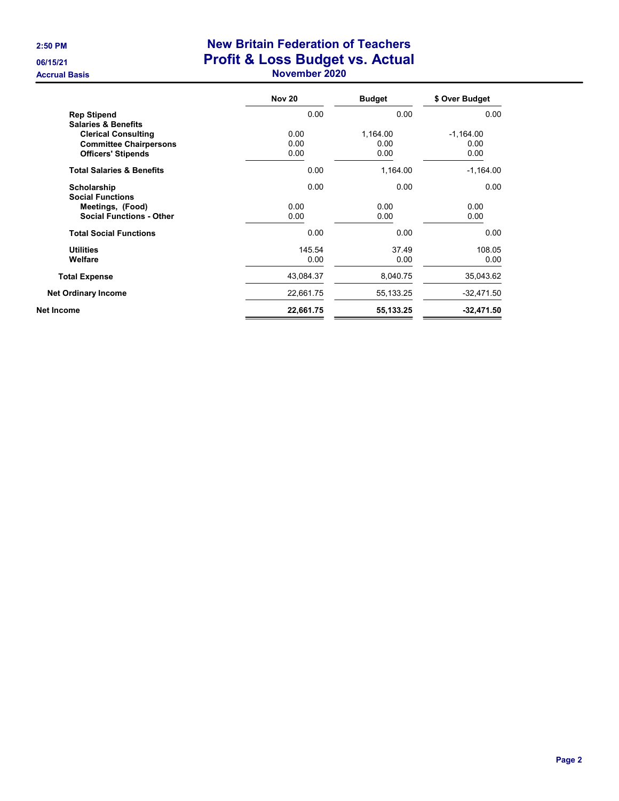## 2:50 PM New Britain Federation of Teachers 06/15/21 **Profit & Loss Budget vs. Actual** Accrual Basis **November 2020**

|                                      | <b>Nov 20</b> | <b>Budget</b> | \$ Over Budget |
|--------------------------------------|---------------|---------------|----------------|
| <b>Rep Stipend</b>                   | 0.00          | 0.00          | 0.00           |
| <b>Salaries &amp; Benefits</b>       |               |               |                |
| <b>Clerical Consulting</b>           | 0.00          | 1,164.00      | $-1,164.00$    |
| <b>Committee Chairpersons</b>        | 0.00          | 0.00          | 0.00           |
| <b>Officers' Stipends</b>            | 0.00          | 0.00          | 0.00           |
| <b>Total Salaries &amp; Benefits</b> | 0.00          | 1,164.00      | $-1,164.00$    |
| Scholarship                          | 0.00          | 0.00          | 0.00           |
| <b>Social Functions</b>              |               |               |                |
| Meetings, (Food)                     | 0.00          | 0.00          | 0.00           |
| <b>Social Functions - Other</b>      | 0.00          | 0.00          | 0.00           |
| <b>Total Social Functions</b>        | 0.00          | 0.00          | 0.00           |
| <b>Utilities</b>                     | 145.54        | 37.49         | 108.05         |
| Welfare                              | 0.00          | 0.00          | 0.00           |
| <b>Total Expense</b>                 | 43,084.37     | 8,040.75      | 35,043.62      |
| <b>Net Ordinary Income</b>           | 22,661.75     | 55,133.25     | $-32,471.50$   |
| Net Income                           | 22,661.75     | 55,133.25     | $-32,471.50$   |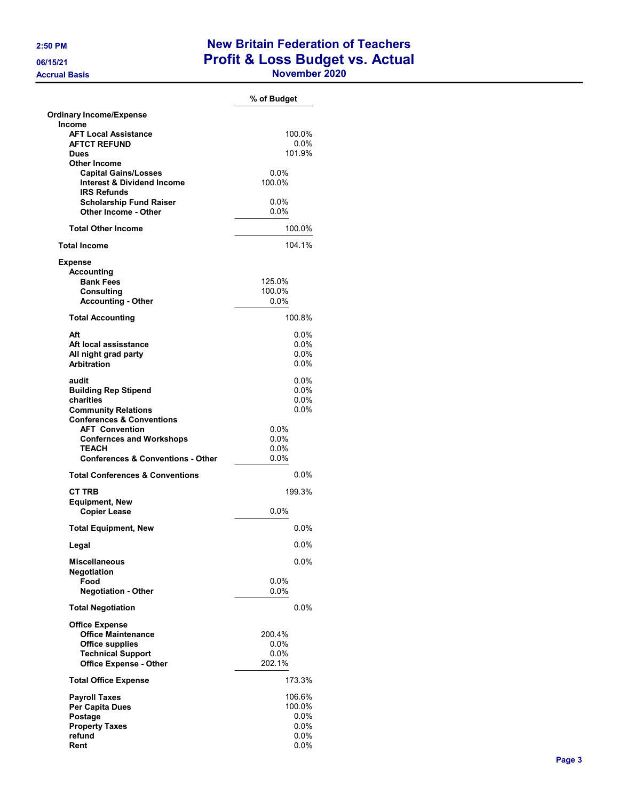## 2:50 PM New Britain Federation of Teachers 06/15/21 **Profit & Loss Budget vs. Actual**

Accrual Basis **November 2020** 

|                                                                    | % of Budget        |
|--------------------------------------------------------------------|--------------------|
| <b>Ordinary Income/Expense</b>                                     |                    |
| Income                                                             |                    |
| <b>AFT Local Assistance</b>                                        | 100.0%             |
| <b>AFTCT REFUND</b><br>Dues                                        | $0.0\%$<br>101.9%  |
| <b>Other Income</b>                                                |                    |
| <b>Capital Gains/Losses</b>                                        | 0.0%               |
| <b>Interest &amp; Dividend Income</b>                              | 100.0%             |
| <b>IRS Refunds</b>                                                 |                    |
| <b>Scholarship Fund Raiser</b><br><b>Other Income - Other</b>      | $0.0\%$<br>$0.0\%$ |
| <b>Total Other Income</b>                                          | 100.0%             |
| <b>Total Income</b>                                                | 104.1%             |
| <b>Expense</b>                                                     |                    |
| <b>Accounting</b>                                                  |                    |
| <b>Bank Fees</b>                                                   | 125.0%             |
| <b>Consulting</b>                                                  | 100.0%<br>0.0%     |
| <b>Accounting - Other</b>                                          |                    |
| <b>Total Accounting</b>                                            | 100.8%             |
| Aft                                                                | $0.0\%$            |
| Aft local assisstance                                              | $0.0\%$            |
| All night grad party<br><b>Arbitration</b>                         | $0.0\%$<br>$0.0\%$ |
| audit                                                              | $0.0\%$            |
| <b>Building Rep Stipend</b>                                        | $0.0\%$            |
| charities                                                          | $0.0\%$            |
| <b>Community Relations</b><br><b>Conferences &amp; Conventions</b> | $0.0\%$            |
| <b>AFT Convention</b>                                              | $0.0\%$            |
| <b>Confernces and Workshops</b>                                    | 0.0%               |
| TEACH                                                              | $0.0\%$            |
| <b>Conferences &amp; Conventions - Other</b>                       | $0.0\%$            |
| <b>Total Conferences &amp; Conventions</b>                         | 0.0%               |
| CT TRB                                                             | 199.3%             |
| <b>Equipment, New</b>                                              |                    |
| <b>Copier Lease</b>                                                | 0.0%               |
| <b>Total Equipment, New</b>                                        | $0.0\%$            |
| Legal                                                              | 0.0%               |
| Miscellaneous<br>Negotiation                                       | $0.0\%$            |
| Food                                                               | $0.0\%$            |
| <b>Negotiation - Other</b>                                         | $0.0\%$            |
| <b>Total Negotiation</b>                                           | $0.0\%$            |
| <b>Office Expense</b>                                              |                    |
| <b>Office Maintenance</b>                                          | 200.4%             |
| <b>Office supplies</b>                                             | $0.0\%$            |
| <b>Technical Support</b><br><b>Office Expense - Other</b>          | 0.0%<br>202.1%     |
| <b>Total Office Expense</b>                                        | 173.3%             |
| <b>Payroll Taxes</b>                                               | 106.6%             |
| Per Capita Dues                                                    | 100.0%             |
| Postage                                                            | $0.0\%$            |
| <b>Property Taxes</b>                                              | $0.0\%$            |
| refund                                                             | $0.0\%$            |
| Rent                                                               | 0.0%               |